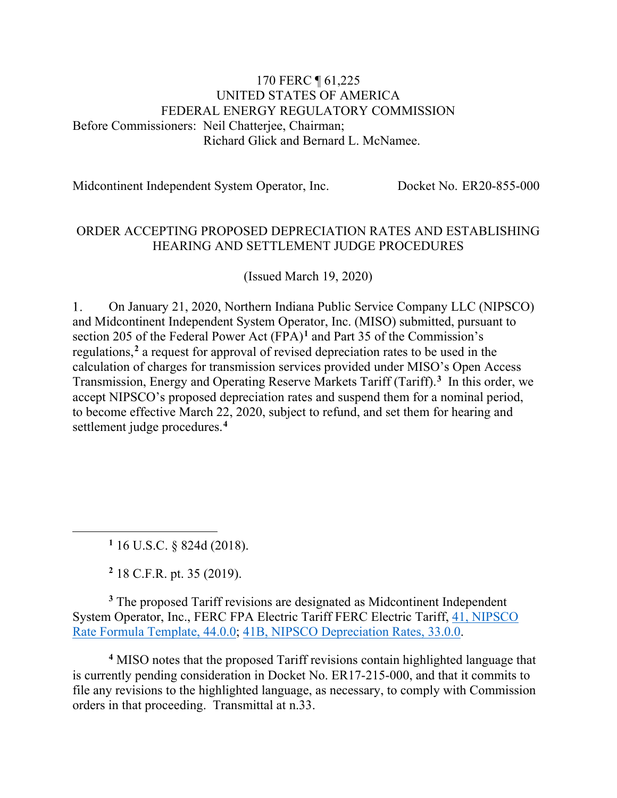#### 170 FERC ¶ 61,225 UNITED STATES OF AMERICA FEDERAL ENERGY REGULATORY COMMISSION Before Commissioners: Neil Chatterjee, Chairman; Richard Glick and Bernard L. McNamee.

Midcontinent Independent System Operator, Inc. Docket No. ER20-855-000

#### ORDER ACCEPTING PROPOSED DEPRECIATION RATES AND ESTABLISHING HEARING AND SETTLEMENT JUDGE PROCEDURES

(Issued March 19, 2020)

 $1<sub>1</sub>$ On January 21, 2020, Northern Indiana Public Service Company LLC (NIPSCO) and Midcontinent Independent System Operator, Inc. (MISO) submitted, pursuant to section 205 of the Federal Power Act (FPA)**[1](#page-0-0)** and Part 35 of the Commission's regulations,**[2](#page-0-1)** a request for approval of revised depreciation rates to be used in the calculation of charges for transmission services provided under MISO's Open Access Transmission, Energy and Operating Reserve Markets Tariff (Tariff). **[3](#page-0-2)** In this order, we accept NIPSCO's proposed depreciation rates and suspend them for a nominal period, to become effective March 22, 2020, subject to refund, and set them for hearing and settlement judge procedures.**[4](#page-0-3)**

**<sup>1</sup>** 16 U.S.C. § 824d (2018).

**<sup>2</sup>** 18 C.F.R. pt. 35 (2019).

<span id="page-0-2"></span><span id="page-0-1"></span><span id="page-0-0"></span>**<sup>3</sup>** The proposed Tariff revisions are designated as Midcontinent Independent System Operator, Inc., FERC FPA Electric Tariff FERC Electric Tariff, [41, NIPSCO](http://etariff.ferc.gov/TariffSectionDetails.aspx?tid=1162&sid=268809)  [Rate Formula Template, 44.0.0;](http://etariff.ferc.gov/TariffSectionDetails.aspx?tid=1162&sid=268809) [41B, NIPSCO Depreciation Rates, 33.0.0.](http://etariff.ferc.gov/TariffSectionDetails.aspx?tid=1162&sid=268808)

<span id="page-0-3"></span>**<sup>4</sup>** MISO notes that the proposed Tariff revisions contain highlighted language that is currently pending consideration in Docket No. ER17-215-000, and that it commits to file any revisions to the highlighted language, as necessary, to comply with Commission orders in that proceeding. Transmittal at n.33.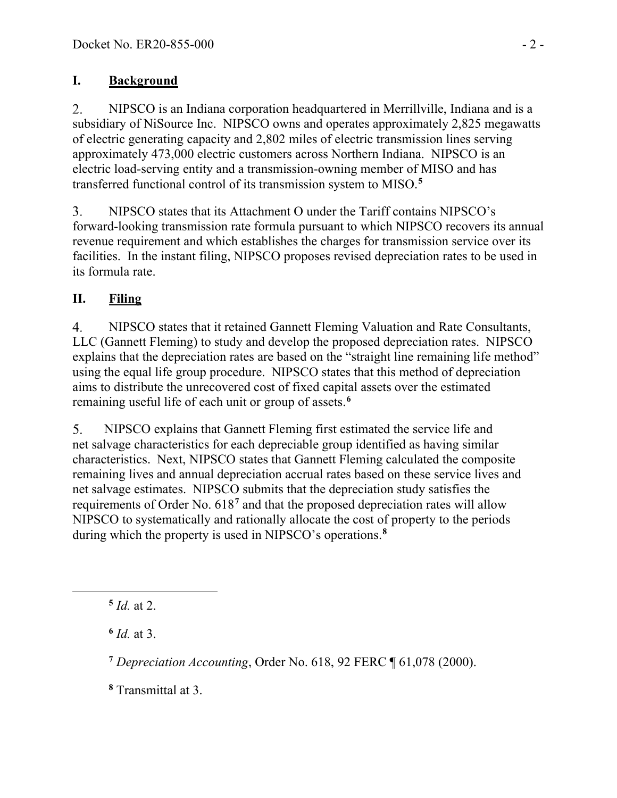### **I. Background**

 $2.$ NIPSCO is an Indiana corporation headquartered in Merrillville, Indiana and is a subsidiary of NiSource Inc. NIPSCO owns and operates approximately 2,825 megawatts of electric generating capacity and 2,802 miles of electric transmission lines serving approximately 473,000 electric customers across Northern Indiana. NIPSCO is an electric load-serving entity and a transmission-owning member of MISO and has transferred functional control of its transmission system to MISO.**[5](#page-1-0)**

NIPSCO states that its Attachment O under the Tariff contains NIPSCO's 3. forward-looking transmission rate formula pursuant to which NIPSCO recovers its annual revenue requirement and which establishes the charges for transmission service over its facilities. In the instant filing, NIPSCO proposes revised depreciation rates to be used in its formula rate.

### **II. Filing**

 $\overline{4}$ . NIPSCO states that it retained Gannett Fleming Valuation and Rate Consultants, LLC (Gannett Fleming) to study and develop the proposed depreciation rates. NIPSCO explains that the depreciation rates are based on the "straight line remaining life method" using the equal life group procedure. NIPSCO states that this method of depreciation aims to distribute the unrecovered cost of fixed capital assets over the estimated remaining useful life of each unit or group of assets. **[6](#page-1-1)**

NIPSCO explains that Gannett Fleming first estimated the service life and 5. net salvage characteristics for each depreciable group identified as having similar characteristics. Next, NIPSCO states that Gannett Fleming calculated the composite remaining lives and annual depreciation accrual rates based on these service lives and net salvage estimates. NIPSCO submits that the depreciation study satisfies the requirements of Order No. 618**[7](#page-1-2)** and that the proposed depreciation rates will allow NIPSCO to systematically and rationally allocate the cost of property to the periods during which the property is used in NIPSCO's operations.**[8](#page-1-3)**

<span id="page-1-1"></span>**<sup>6</sup>** *Id.* at 3.

<span id="page-1-2"></span>**<sup>7</sup>** *Depreciation Accounting*, Order No. 618, 92 FERC ¶ 61,078 (2000).

<span id="page-1-3"></span>**<sup>8</sup>** Transmittal at 3.

<span id="page-1-0"></span> $5$  *Id.* at 2.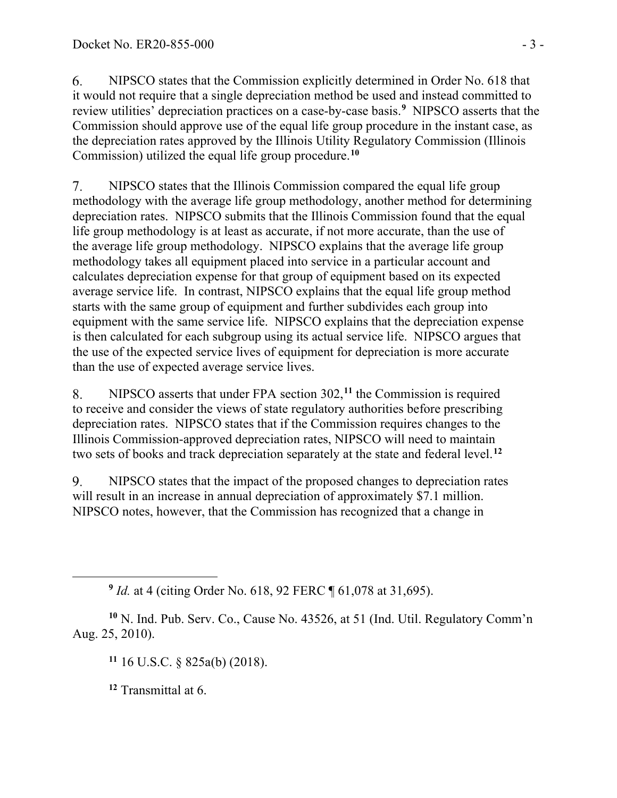6. NIPSCO states that the Commission explicitly determined in Order No. 618 that it would not require that a single depreciation method be used and instead committed to review utilities' depreciation practices on a case-by-case basis.**[9](#page-2-0)** NIPSCO asserts that the Commission should approve use of the equal life group procedure in the instant case, as the depreciation rates approved by the Illinois Utility Regulatory Commission (Illinois Commission) utilized the equal life group procedure.**[10](#page-2-1)**

7. NIPSCO states that the Illinois Commission compared the equal life group methodology with the average life group methodology, another method for determining depreciation rates. NIPSCO submits that the Illinois Commission found that the equal life group methodology is at least as accurate, if not more accurate, than the use of the average life group methodology. NIPSCO explains that the average life group methodology takes all equipment placed into service in a particular account and calculates depreciation expense for that group of equipment based on its expected average service life. In contrast, NIPSCO explains that the equal life group method starts with the same group of equipment and further subdivides each group into equipment with the same service life. NIPSCO explains that the depreciation expense is then calculated for each subgroup using its actual service life. NIPSCO argues that the use of the expected service lives of equipment for depreciation is more accurate than the use of expected average service lives.

8. NIPSCO asserts that under FPA section 302, **[11](#page-2-2)** the Commission is required to receive and consider the views of state regulatory authorities before prescribing depreciation rates. NIPSCO states that if the Commission requires changes to the Illinois Commission-approved depreciation rates, NIPSCO will need to maintain two sets of books and track depreciation separately at the state and federal level.**[12](#page-2-3)**

9. NIPSCO states that the impact of the proposed changes to depreciation rates will result in an increase in annual depreciation of approximately \$7.1 million. NIPSCO notes, however, that the Commission has recognized that a change in

**<sup>11</sup>** 16 U.S.C. § 825a(b) (2018).

**<sup>12</sup>** Transmittal at 6.

**<sup>9</sup>** *Id.* at 4 (citing Order No. 618, 92 FERC ¶ 61,078 at 31,695).

<span id="page-2-3"></span><span id="page-2-2"></span><span id="page-2-1"></span><span id="page-2-0"></span>**<sup>10</sup>** N. Ind. Pub. Serv. Co., Cause No. 43526, at 51 (Ind. Util. Regulatory Comm'n Aug. 25, 2010).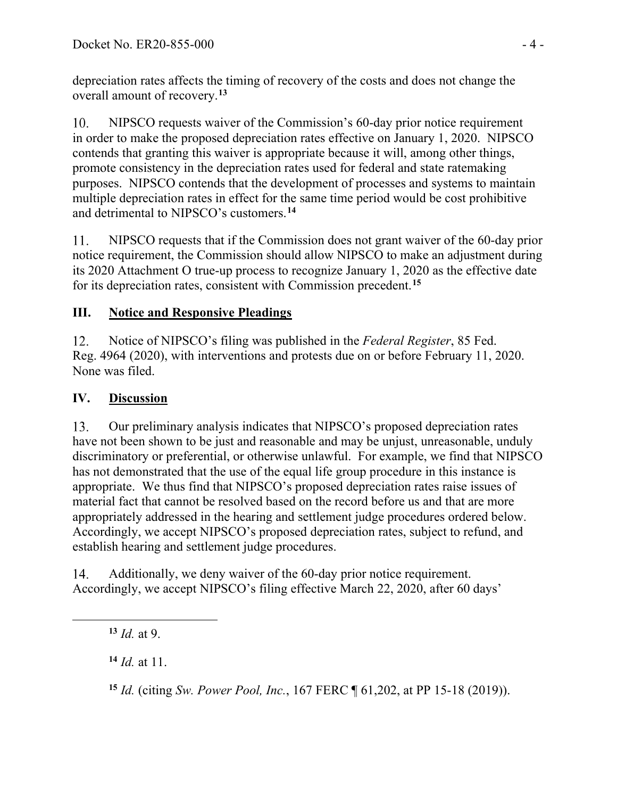depreciation rates affects the timing of recovery of the costs and does not change the overall amount of recovery. **[13](#page-3-0)**

NIPSCO requests waiver of the Commission's 60-day prior notice requirement  $10.$ in order to make the proposed depreciation rates effective on January 1, 2020. NIPSCO contends that granting this waiver is appropriate because it will, among other things, promote consistency in the depreciation rates used for federal and state ratemaking purposes. NIPSCO contends that the development of processes and systems to maintain multiple depreciation rates in effect for the same time period would be cost prohibitive and detrimental to NIPSCO's customers.**[14](#page-3-1)**

11. NIPSCO requests that if the Commission does not grant waiver of the 60-day prior notice requirement, the Commission should allow NIPSCO to make an adjustment during its 2020 Attachment O true-up process to recognize January 1, 2020 as the effective date for its depreciation rates, consistent with Commission precedent. **[15](#page-3-2)**

# **III. Notice and Responsive Pleadings**

 $12.$ Notice of NIPSCO's filing was published in the *Federal Register*, 85 Fed. Reg. 4964 (2020), with interventions and protests due on or before February 11, 2020. None was filed.

# **IV. Discussion**

13. Our preliminary analysis indicates that NIPSCO's proposed depreciation rates have not been shown to be just and reasonable and may be unjust, unreasonable, unduly discriminatory or preferential, or otherwise unlawful. For example, we find that NIPSCO has not demonstrated that the use of the equal life group procedure in this instance is appropriate. We thus find that NIPSCO's proposed depreciation rates raise issues of material fact that cannot be resolved based on the record before us and that are more appropriately addressed in the hearing and settlement judge procedures ordered below. Accordingly, we accept NIPSCO's proposed depreciation rates, subject to refund, and establish hearing and settlement judge procedures.

<span id="page-3-0"></span>14. Additionally, we deny waiver of the 60-day prior notice requirement. Accordingly, we accept NIPSCO's filing effective March 22, 2020, after 60 days'

<span id="page-3-1"></span>**<sup>14</sup>** *Id.* at 11.

<span id="page-3-2"></span>**<sup>15</sup>** *Id.* (citing *Sw. Power Pool, Inc.*, 167 FERC ¶ 61,202, at PP 15-18 (2019)).

**<sup>13</sup>** *Id.* at 9.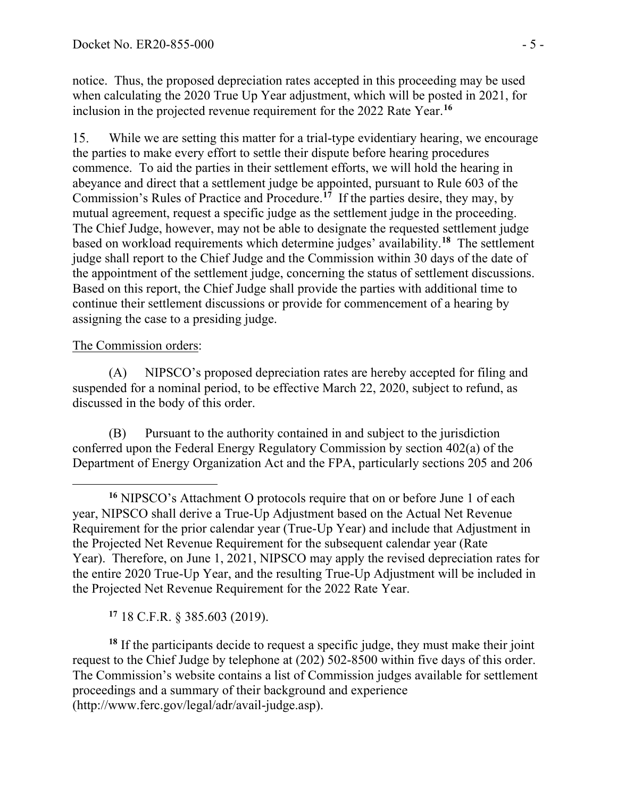notice. Thus, the proposed depreciation rates accepted in this proceeding may be used when calculating the 2020 True Up Year adjustment, which will be posted in 2021, for inclusion in the projected revenue requirement for the 2022 Rate Year. **[16](#page-4-0)**

15. While we are setting this matter for a trial-type evidentiary hearing, we encourage the parties to make every effort to settle their dispute before hearing procedures commence. To aid the parties in their settlement efforts, we will hold the hearing in abeyance and direct that a settlement judge be appointed, pursuant to Rule 603 of the Commission's Rules of Practice and Procedure.**[17](#page-4-1)** If the parties desire, they may, by mutual agreement, request a specific judge as the settlement judge in the proceeding. The Chief Judge, however, may not be able to designate the requested settlement judge based on workload requirements which determine judges' availability.**[18](#page-4-2)** The settlement judge shall report to the Chief Judge and the Commission within 30 days of the date of the appointment of the settlement judge, concerning the status of settlement discussions. Based on this report, the Chief Judge shall provide the parties with additional time to continue their settlement discussions or provide for commencement of a hearing by assigning the case to a presiding judge.

#### The Commission orders:

(A) NIPSCO's proposed depreciation rates are hereby accepted for filing and suspended for a nominal period, to be effective March 22, 2020, subject to refund, as discussed in the body of this order.

(B) Pursuant to the authority contained in and subject to the jurisdiction conferred upon the Federal Energy Regulatory Commission by section 402(a) of the Department of Energy Organization Act and the FPA, particularly sections 205 and 206

**<sup>17</sup>** 18 C.F.R. § 385.603 (2019).

<span id="page-4-2"></span><span id="page-4-1"></span><sup>18</sup> If the participants decide to request a specific judge, they must make their joint request to the Chief Judge by telephone at (202) 502-8500 within five days of this order. The Commission's website contains a list of Commission judges available for settlement proceedings and a summary of their background and experience (http://www.ferc.gov/legal/adr/avail-judge.asp).

<span id="page-4-0"></span>**<sup>16</sup>** NIPSCO's Attachment O protocols require that on or before June 1 of each year, NIPSCO shall derive a True-Up Adjustment based on the Actual Net Revenue Requirement for the prior calendar year (True-Up Year) and include that Adjustment in the Projected Net Revenue Requirement for the subsequent calendar year (Rate Year). Therefore, on June 1, 2021, NIPSCO may apply the revised depreciation rates for the entire 2020 True-Up Year, and the resulting True-Up Adjustment will be included in the Projected Net Revenue Requirement for the 2022 Rate Year.